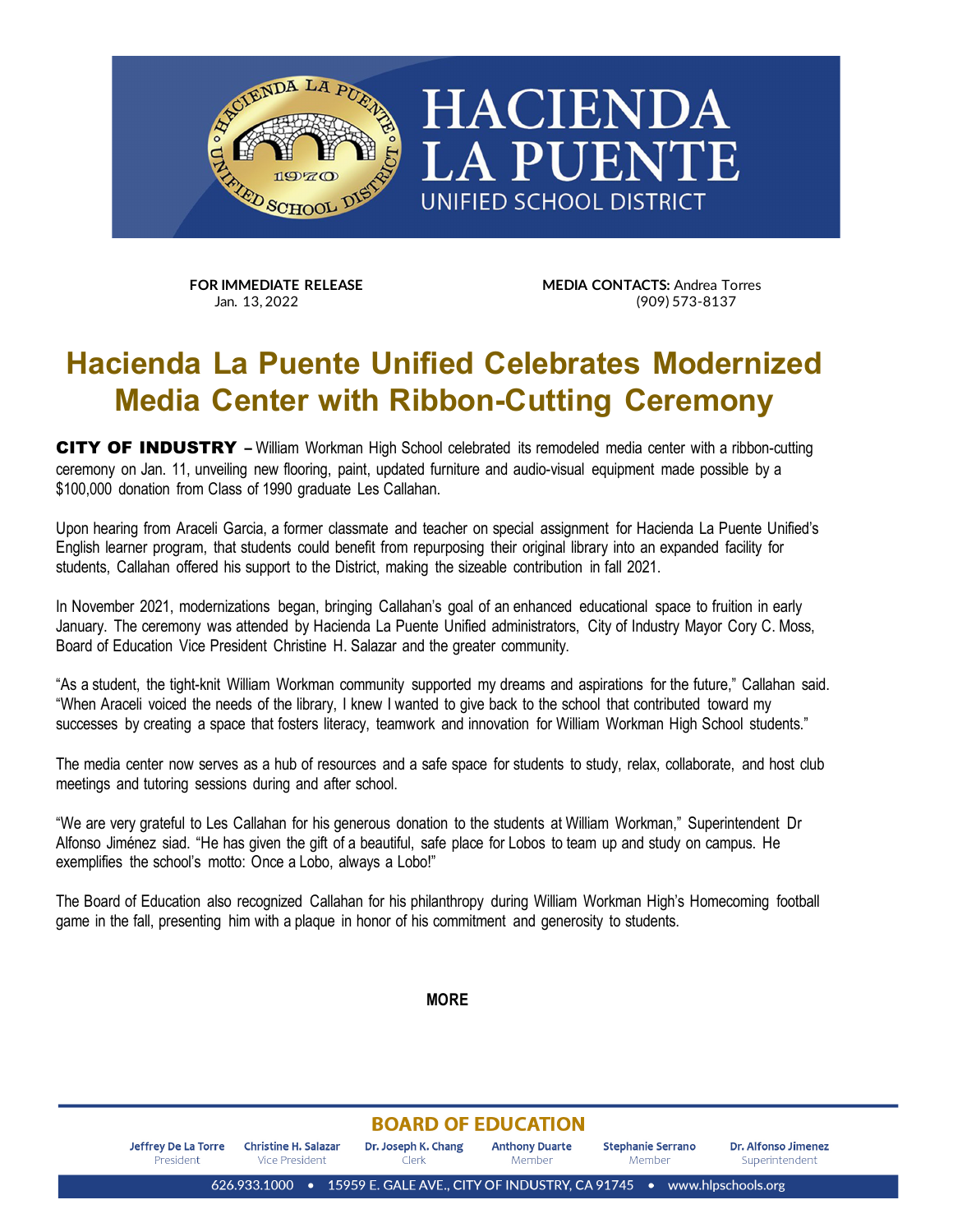

**FOR IMMEDIATE RELEASE MEDIA CONTACTS:** Andrea Torres<br>
Jan. 13.2022 (909) 573-8137

## **Hacienda La Puente Unified Celebrates Modernized Media Center with Ribbon-Cutting Ceremony**

CITY OF INDUSTRY **–** William Workman High School celebrated its remodeled media center with a ribbon-cutting ceremony on Jan. 11, unveiling new flooring, paint, updated furniture and audio-visual equipment made possible by a \$100,000 donation from Class of 1990 graduate Les Callahan.

Upon hearing from Araceli Garcia, a former classmate and teacher on special assignment for Hacienda La Puente Unified's English learner program, that students could benefit from repurposing their original library into an expanded facility for students, Callahan offered his support to the District, making the sizeable contribution in fall 2021.

In November 2021, modernizations began, bringing Callahan's goal of an enhanced educational space to fruition in early January. The ceremony was attended by Hacienda La Puente Unified administrators, City of Industry Mayor Cory C. Moss, Board of Education Vice President Christine H. Salazar and the greater community.

"As a student, the tight-knit William Workman community supported my dreams and aspirations for the future," Callahan said. "When Araceli voiced the needs of the library, I knew I wanted to give back to the school that contributed toward my successes by creating a space that fosters literacy, teamwork and innovation for William Workman High School students."

The media center now serves as a hub of resources and a safe space for students to study, relax, collaborate, and host club meetings and tutoring sessions during and after school.

"We are very grateful to Les Callahan for his generous donation to the students at William Workman," Superintendent Dr Alfonso Jiménez siad. "He has given the gift of a beautiful, safe place for Lobos to team up and study on campus. He exemplifies the school's motto: Once a Lobo, always a Lobo!"

The Board of Education also recognized Callahan for his philanthropy during William Workman High's Homecoming football game in the fall, presenting him with a plaque in honor of his commitment and generosity to students.

**MORE**

## **BOARD OF EDUCATION**